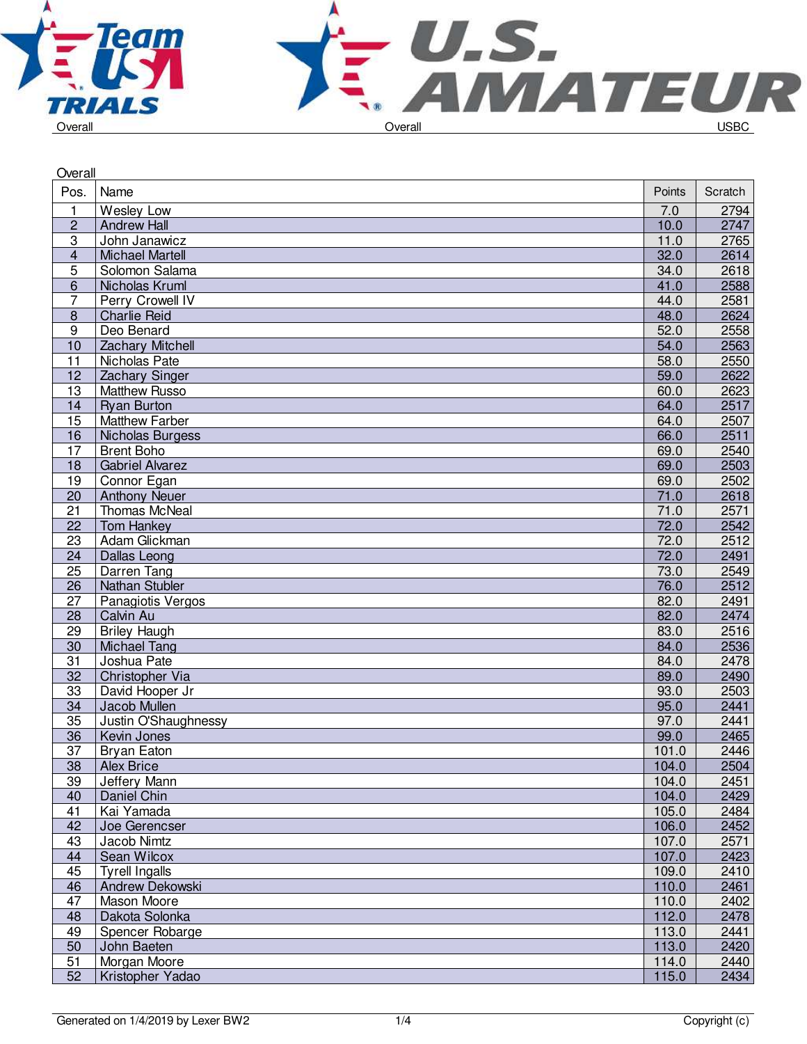



| Overall         |                        |        |         |
|-----------------|------------------------|--------|---------|
| Pos.            | Name                   | Points | Scratch |
| $\mathbf{1}$    | Wesley Low             | 7.0    | 2794    |
| $\overline{c}$  | <b>Andrew Hall</b>     | 10.0   | 2747    |
| 3               | John Janawicz          | 11.0   | 2765    |
| 4               | <b>Michael Martell</b> | 32.0   | 2614    |
| 5               | Solomon Salama         | 34.0   | 2618    |
| $\overline{6}$  | Nicholas Kruml         | 41.0   | 2588    |
| 7               | Perry Crowell IV       | 44.0   | 2581    |
| $\overline{8}$  | <b>Charlie Reid</b>    | 48.0   | 2624    |
| $\overline{9}$  | Deo Benard             | 52.0   | 2558    |
| 10              | Zachary Mitchell       | 54.0   | 2563    |
| $\overline{11}$ | Nicholas Pate          | 58.0   | 2550    |
| 12              | Zachary Singer         | 59.0   | 2622    |
| 13              | <b>Matthew Russo</b>   | 60.0   | 2623    |
| 14              | <b>Ryan Burton</b>     | 64.0   | 2517    |
| 15              | <b>Matthew Farber</b>  | 64.0   | 2507    |
| 16              | Nicholas Burgess       | 66.0   | 2511    |
| 17              | <b>Brent Boho</b>      | 69.0   | 2540    |
| 18              | <b>Gabriel Alvarez</b> | 69.0   | 2503    |
| 19              | Connor Egan            | 69.0   | 2502    |
| $\overline{20}$ | <b>Anthony Neuer</b>   | 71.0   | 2618    |
| $\overline{21}$ | <b>Thomas McNeal</b>   | 71.0   | 2571    |
| 22              | <b>Tom Hankey</b>      | 72.0   | 2542    |
| 23              | Adam Glickman          | 72.0   | 2512    |
| 24              | Dallas Leong           | 72.0   | 2491    |
| $\overline{25}$ | Darren Tang            | 73.0   | 2549    |
| 26              | Nathan Stubler         | 76.0   | 2512    |
| 27              | Panagiotis Vergos      | 82.0   | 2491    |
| 28              | Calvin Au              | 82.0   | 2474    |
| 29              | <b>Briley Haugh</b>    | 83.0   | 2516    |
| 30              | <b>Michael Tang</b>    | 84.0   | 2536    |
| $\overline{31}$ | Joshua Pate            | 84.0   | 2478    |
| 32              | Christopher Via        | 89.0   | 2490    |
| 33              | David Hooper Jr        | 93.0   | 2503    |
| 34              | Jacob Mullen           | 95.0   | 2441    |
| $\overline{35}$ | Justin O'Shaughnessy   | 97.0   | 2441    |
| 36              | Kevin Jones            | 99.0   | 2465    |
| $\overline{37}$ | <b>Bryan Eaton</b>     | 101.0  | 2446    |
| 38              | <b>Alex Brice</b>      | 104.0  | 2504    |
| 39              | Jeffery Mann           | 104.0  | 2451    |
| 40              | Daniel Chin            | 104.0  | 2429    |
| 41              | Kai Yamada             | 105.0  | 2484    |
| 42              | Joe Gerencser          | 106.0  | 2452    |
| 43              | Jacob Nimtz            | 107.0  | 2571    |
| 44              | Sean Wilcox            | 107.0  | 2423    |
| 45              | <b>Tyrell Ingalls</b>  | 109.0  | 2410    |
| 46              | Andrew Dekowski        | 110.0  | 2461    |
| 47              | <b>Mason Moore</b>     | 110.0  | 2402    |
| 48              | Dakota Solonka         | 112.0  | 2478    |
| 49              | Spencer Robarge        | 113.0  | 2441    |
| 50              | John Baeten            | 113.0  | 2420    |
| 51              | Morgan Moore           | 114.0  | 2440    |
| 52              | Kristopher Yadao       | 115.0  | 2434    |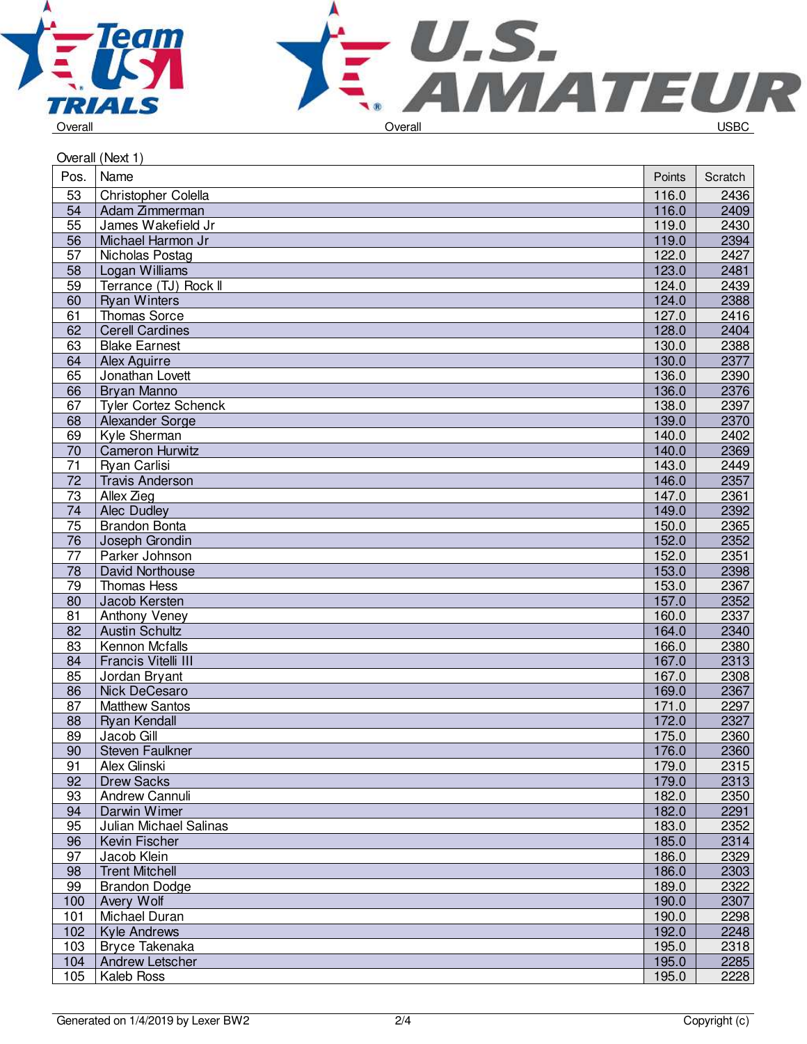



|                  | Overall (Next 1)            |        |         |
|------------------|-----------------------------|--------|---------|
| Pos.             | Name                        | Points | Scratch |
| 53               | Christopher Colella         | 116.0  | 2436    |
| 54               | Adam Zimmerman              | 116.0  | 2409    |
| 55               | James Wakefield Jr          | 119.0  | 2430    |
| 56               | Michael Harmon Jr           | 119.0  | 2394    |
| 57               | Nicholas Postag             | 122.0  | 2427    |
| 58               | Logan Williams              | 123.0  | 2481    |
| 59               | Terrance (TJ) Rock II       | 124.0  | 2439    |
| 60               | <b>Ryan Winters</b>         | 124.0  | 2388    |
| 61               | Thomas Sorce                | 127.0  | 2416    |
| 62               | <b>Cerell Cardines</b>      | 128.0  | 2404    |
| 63               | <b>Blake Earnest</b>        | 130.0  | 2388    |
| 64               | Alex Aguirre                | 130.0  | 2377    |
| 65               | Jonathan Lovett             | 136.0  | 2390    |
| 66               | Bryan Manno                 | 136.0  | 2376    |
| 67               | <b>Tyler Cortez Schenck</b> | 138.0  | 2397    |
| 68               | Alexander Sorge             | 139.0  | 2370    |
| 69               | Kyle Sherman                | 140.0  | 2402    |
| 70               | <b>Cameron Hurwitz</b>      | 140.0  | 2369    |
| 71               | Ryan Carlisi                | 143.0  | 2449    |
| 72               | <b>Travis Anderson</b>      | 146.0  | 2357    |
| 73               | Allex Zieg                  | 147.0  | 2361    |
| 74               | Alec Dudley                 | 149.0  | 2392    |
| 75               | Brandon Bonta               | 150.0  | 2365    |
| 76               | Joseph Grondin              | 152.0  | 2352    |
| 77               | Parker Johnson              | 152.0  | 2351    |
| 78               | David Northouse             | 153.0  | 2398    |
| 79               | Thomas Hess                 | 153.0  | 2367    |
| 80               | Jacob Kersten               | 157.0  | 2352    |
| 81               | Anthony Veney               | 160.0  | 2337    |
| 82               | <b>Austin Schultz</b>       | 164.0  | 2340    |
| 83               | Kennon Mcfalls              | 166.0  | 2380    |
| 84               | Francis Vitelli III         | 167.0  | 2313    |
| 85               | Jordan Bryant               | 167.0  | 2308    |
| 86               | Nick DeCesaro               | 169.0  | 2367    |
| 87               | <b>Matthew Santos</b>       | 171.0  | 2297    |
| 88               | Ryan Kendall                | 172.0  | 2327    |
| 89               | Jacob Gill                  | 175.0  | 2360    |
| 90               | Steven Faulkner             | 176.0  | 2360    |
| 91               | Alex Glinski                | 179.0  | 2315    |
| 92               | <b>Drew Sacks</b>           | 179.0  | 2313    |
| 93               | Andrew Cannuli              | 182.0  | 2350    |
| 94               | Darwin Wimer                | 182.0  | 2291    |
| 95               | Julian Michael Salinas      | 183.0  | 2352    |
| 96               | Kevin Fischer               | 185.0  | 2314    |
| 97               | Jacob Klein                 | 186.0  | 2329    |
| 98               | <b>Trent Mitchell</b>       | 186.0  | 2303    |
| 99               | <b>Brandon Dodge</b>        | 189.0  | 2322    |
| 100              | Avery Wolf                  | 190.0  | 2307    |
| 101              | Michael Duran               | 190.0  | 2298    |
| 102 <sub>1</sub> | <b>Kyle Andrews</b>         | 192.0  | 2248    |
| 103              | Bryce Takenaka              | 195.0  | 2318    |
| 104              | <b>Andrew Letscher</b>      | 195.0  | 2285    |
| 105              | Kaleb Ross                  | 195.0  | 2228    |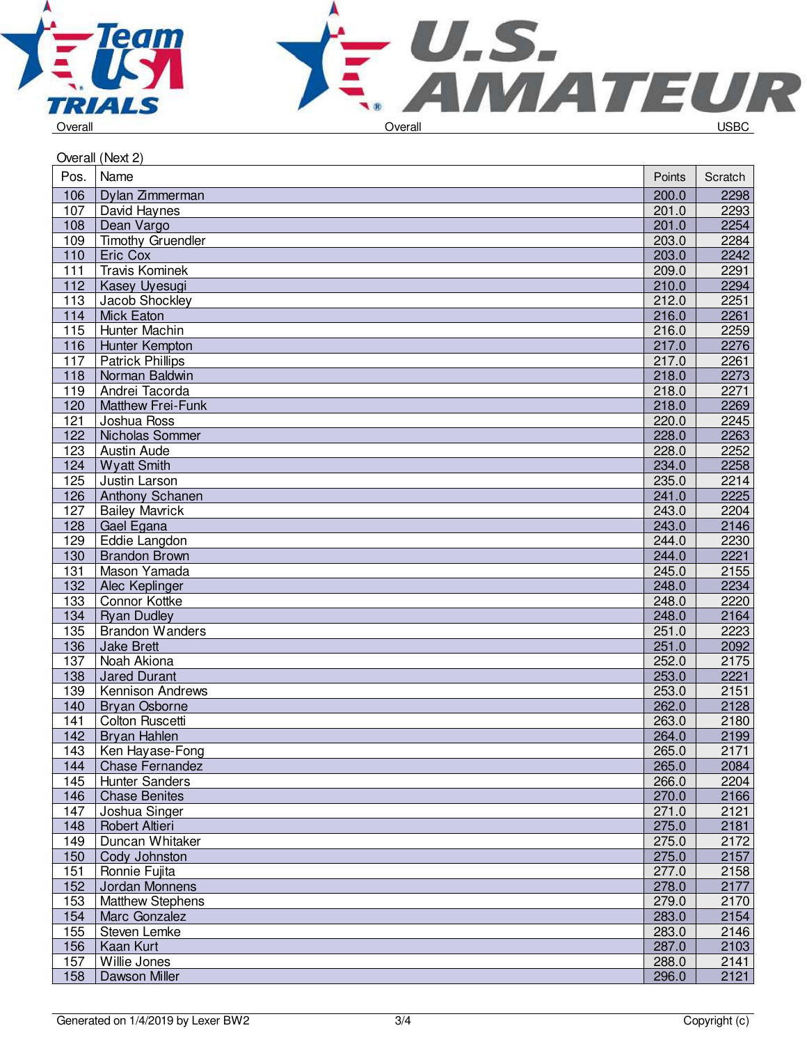



|      | Overall (Next 2)         |        |         |
|------|--------------------------|--------|---------|
| Pos. | Name                     | Points | Scratch |
| 106  | Dylan Zimmerman          | 200.0  | 2298    |
| 107  | David Haynes             | 201.0  | 2293    |
| 108  | Dean Vargo               | 201.0  | 2254    |
| 109  | <b>Timothy Gruendler</b> | 203.0  | 2284    |
| 110  | Eric Cox                 | 203.0  | 2242    |
| 111  | <b>Travis Kominek</b>    | 209.0  | 2291    |
| 112  | Kasey Uyesugi            | 210.0  | 2294    |
| 113  | Jacob Shockley           | 212.0  | 2251    |
| 114  | <b>Mick Eaton</b>        | 216.0  | 2261    |
| 115  | Hunter Machin            | 216.0  | 2259    |
| 116  | Hunter Kempton           | 217.0  | 2276    |
| 117  | <b>Patrick Phillips</b>  | 217.0  | 2261    |
| 118  | Norman Baldwin           | 218.0  | 2273    |
| 119  | Andrei Tacorda           | 218.0  | 2271    |
| 120  | Matthew Frei-Funk        | 218.0  | 2269    |
| 121  | Joshua Ross              | 220.0  | 2245    |
| 122  | Nicholas Sommer          | 228.0  | 2263    |
| 123  | Austin Aude              | 228.0  | 2252    |
| 124  | <b>Wyatt Smith</b>       | 234.0  | 2258    |
| 125  | Justin Larson            | 235.0  | 2214    |
| 126  | Anthony Schanen          | 241.0  | 2225    |
| 127  | <b>Bailey Mavrick</b>    | 243.0  | 2204    |
| 128  | Gael Egana               | 243.0  | 2146    |
| 129  | Eddie Langdon            | 244.0  | 2230    |
| 130  | <b>Brandon Brown</b>     | 244.0  | 2221    |
| 131  | Mason Yamada             | 245.0  | 2155    |
| 132  | Alec Keplinger           | 248.0  | 2234    |
| 133  | Connor Kottke            | 248.0  | 2220    |
| 134  | <b>Ryan Dudley</b>       | 248.0  | 2164    |
| 135  | <b>Brandon Wanders</b>   | 251.0  | 2223    |
| 136  | <b>Jake Brett</b>        | 251.0  | 2092    |
| 137  | Noah Akiona              | 252.0  | 2175    |
| 138  | <b>Jared Durant</b>      | 253.0  | 2221    |
| 139  | Kennison Andrews         | 253.0  | 2151    |
| 140  | <b>Bryan Osborne</b>     | 262.0  | 2128    |
| 141  | Colton Ruscetti          | 263.0  | 2180    |
| 142  | Bryan Hahlen             | 264.0  | 2199    |
| 143  | Ken Hayase-Fong          | 265.0  | 2171    |
| 144  | <b>Chase Fernandez</b>   | 265.0  | 2084    |
| 145  | <b>Hunter Sanders</b>    | 266.0  | 2204    |
| 146  | <b>Chase Benites</b>     | 270.0  | 2166    |
| 147  | Joshua Singer            | 271.0  | 2121    |
| 148  | Robert Altieri           | 275.0  | 2181    |
| 149  | Duncan Whitaker          | 275.0  | 2172    |
| 150  | Cody Johnston            | 275.0  | 2157    |
| 151  | Ronnie Fujita            | 277.0  | 2158    |
| 152  | Jordan Monnens           | 278.0  | 2177    |
| 153  | Matthew Stephens         | 279.0  | 2170    |
| 154  | Marc Gonzalez            | 283.0  | 2154    |
| 155  | Steven Lemke             | 283.0  | 2146    |
| 156  | Kaan Kurt                | 287.0  | 2103    |
| 157  | Willie Jones             | 288.0  | 2141    |
| 158  | Dawson Miller            | 296.0  | 2121    |